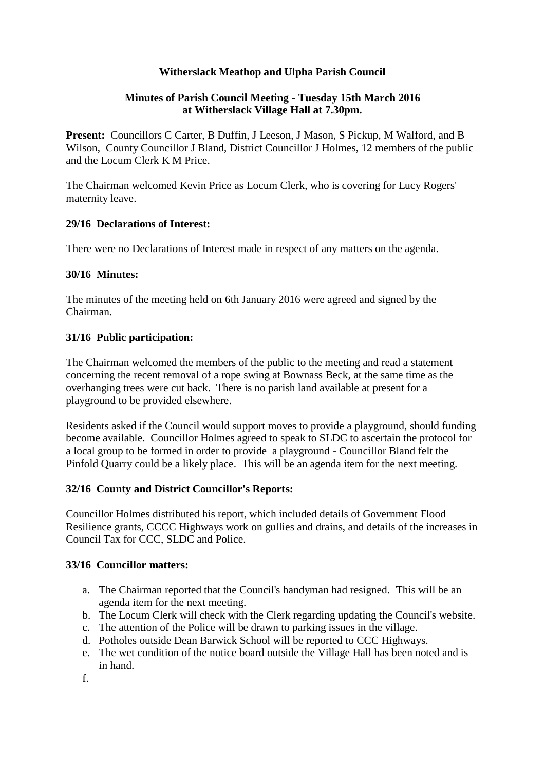# **Witherslack Meathop and Ulpha Parish Council**

### **Minutes of Parish Council Meeting - Tuesday 15th March 2016 at Witherslack Village Hall at 7.30pm.**

**Present:** Councillors C Carter, B Duffin, J Leeson, J Mason, S Pickup, M Walford, and B Wilson, County Councillor J Bland, District Councillor J Holmes, 12 members of the public and the Locum Clerk K M Price.

The Chairman welcomed Kevin Price as Locum Clerk, who is covering for Lucy Rogers' maternity leave.

### **29/16 Declarations of Interest:**

There were no Declarations of Interest made in respect of any matters on the agenda.

### **30/16 Minutes:**

The minutes of the meeting held on 6th January 2016 were agreed and signed by the Chairman.

# **31/16 Public participation:**

The Chairman welcomed the members of the public to the meeting and read a statement concerning the recent removal of a rope swing at Bownass Beck, at the same time as the overhanging trees were cut back. There is no parish land available at present for a playground to be provided elsewhere.

Residents asked if the Council would support moves to provide a playground, should funding become available. Councillor Holmes agreed to speak to SLDC to ascertain the protocol for a local group to be formed in order to provide a playground - Councillor Bland felt the Pinfold Quarry could be a likely place. This will be an agenda item for the next meeting.

# **32/16 County and District Councillor's Reports:**

Councillor Holmes distributed his report, which included details of Government Flood Resilience grants, CCCC Highways work on gullies and drains, and details of the increases in Council Tax for CCC, SLDC and Police.

#### **33/16 Councillor matters:**

- a. The Chairman reported that the Council's handyman had resigned. This will be an agenda item for the next meeting.
- b. The Locum Clerk will check with the Clerk regarding updating the Council's website.
- c. The attention of the Police will be drawn to parking issues in the village.
- d. Potholes outside Dean Barwick School will be reported to CCC Highways.
- e. The wet condition of the notice board outside the Village Hall has been noted and is in hand.

f.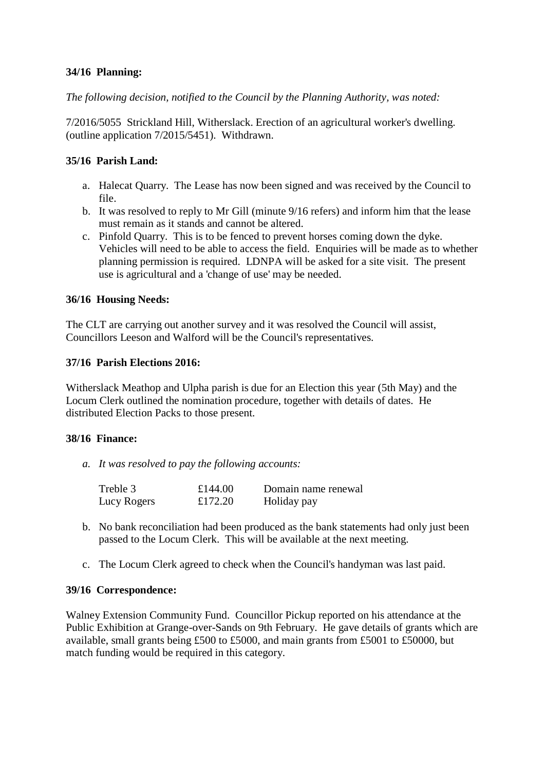# **34/16 Planning:**

*The following decision, notified to the Council by the Planning Authority, was noted:*

7/2016/5055 Strickland Hill, Witherslack. Erection of an agricultural worker's dwelling. (outline application 7/2015/5451). Withdrawn.

# **35/16 Parish Land:**

- a. Halecat Quarry. The Lease has now been signed and was received by the Council to file.
- b. It was resolved to reply to Mr Gill (minute 9/16 refers) and inform him that the lease must remain as it stands and cannot be altered.
- c. Pinfold Quarry. This is to be fenced to prevent horses coming down the dyke. Vehicles will need to be able to access the field. Enquiries will be made as to whether planning permission is required. LDNPA will be asked for a site visit. The present use is agricultural and a 'change of use' may be needed.

### **36/16 Housing Needs:**

The CLT are carrying out another survey and it was resolved the Council will assist, Councillors Leeson and Walford will be the Council's representatives.

#### **37/16 Parish Elections 2016:**

Witherslack Meathop and Ulpha parish is due for an Election this year (5th May) and the Locum Clerk outlined the nomination procedure, together with details of dates. He distributed Election Packs to those present.

#### **38/16 Finance:**

*a. It was resolved to pay the following accounts:*

| Treble 3    | £144.00 | Domain name renewal |
|-------------|---------|---------------------|
| Lucy Rogers | £172.20 | Holiday pay         |

- b. No bank reconciliation had been produced as the bank statements had only just been passed to the Locum Clerk. This will be available at the next meeting.
- c. The Locum Clerk agreed to check when the Council's handyman was last paid.

#### **39/16 Correspondence:**

Walney Extension Community Fund. Councillor Pickup reported on his attendance at the Public Exhibition at Grange-over-Sands on 9th February. He gave details of grants which are available, small grants being £500 to £5000, and main grants from £5001 to £50000, but match funding would be required in this category.